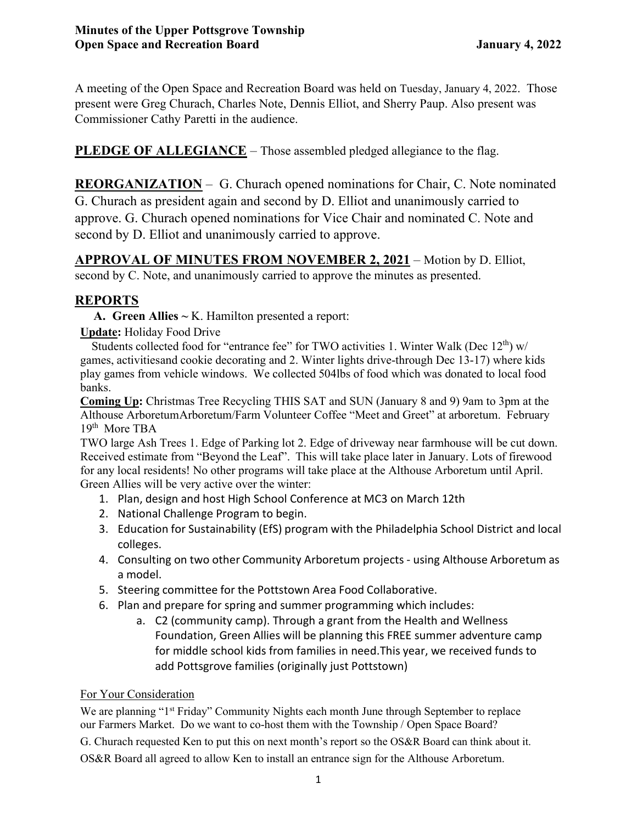A meeting of the Open Space and Recreation Board was held on Tuesday, January 4, 2022. Those present were Greg Churach, Charles Note, Dennis Elliot, and Sherry Paup. Also present was Commissioner Cathy Paretti in the audience.

**PLEDGE OF ALLEGIANCE** – Those assembled pledged allegiance to the flag.

**REORGANIZATION** – G. Churach opened nominations for Chair, C. Note nominated G. Churach as president again and second by D. Elliot and unanimously carried to approve. G. Churach opened nominations for Vice Chair and nominated C. Note and second by D. Elliot and unanimously carried to approve.

**APPROVAL OF MINUTES FROM NOVEMBER 2, 2021** – Motion by D. Elliot, second by C. Note, and unanimously carried to approve the minutes as presented.

# **REPORTS**

**A. Green Allies ~** K. Hamilton presented a report:

**Update:** Holiday Food Drive

Students collected food for "entrance fee" for TWO activities 1. Winter Walk (Dec 12<sup>th</sup>) w/ games, activitiesand cookie decorating and 2. Winter lights drive-through Dec 13-17) where kids play games from vehicle windows. We collected 504lbs of food which was donated to local food banks.

**Coming Up:** Christmas Tree Recycling THIS SAT and SUN (January 8 and 9) 9am to 3pm at the Althouse ArboretumArboretum/Farm Volunteer Coffee "Meet and Greet" at arboretum. February 19<sup>th</sup> More TBA

TWO large Ash Trees 1. Edge of Parking lot 2. Edge of driveway near farmhouse will be cut down. Received estimate from "Beyond the Leaf". This will take place later in January. Lots of firewood for any local residents! No other programs will take place at the Althouse Arboretum until April. Green Allies will be very active over the winter:

- 1. Plan, design and host High School Conference at MC3 on March 12th
- 2. National Challenge Program to begin.
- 3. Education for Sustainability (EfS) program with the Philadelphia School District and local colleges.
- 4. Consulting on two other Community Arboretum projects using Althouse Arboretum as a model.
- 5. Steering committee for the Pottstown Area Food Collaborative.
- 6. Plan and prepare for spring and summer programming which includes:
	- a. C2 (community camp). Through a grant from the Health and Wellness Foundation, Green Allies will be planning this FREE summer adventure camp for middle school kids from families in need.This year, we received funds to add Pottsgrove families (originally just Pottstown)

# For Your Consideration

We are planning "1<sup>st</sup> Friday" Community Nights each month June through September to replace our Farmers Market. Do we want to co-host them with the Township / Open Space Board? G. Churach requested Ken to put this on next month's report so the OS&R Board can think about it. OS&R Board all agreed to allow Ken to install an entrance sign for the Althouse Arboretum.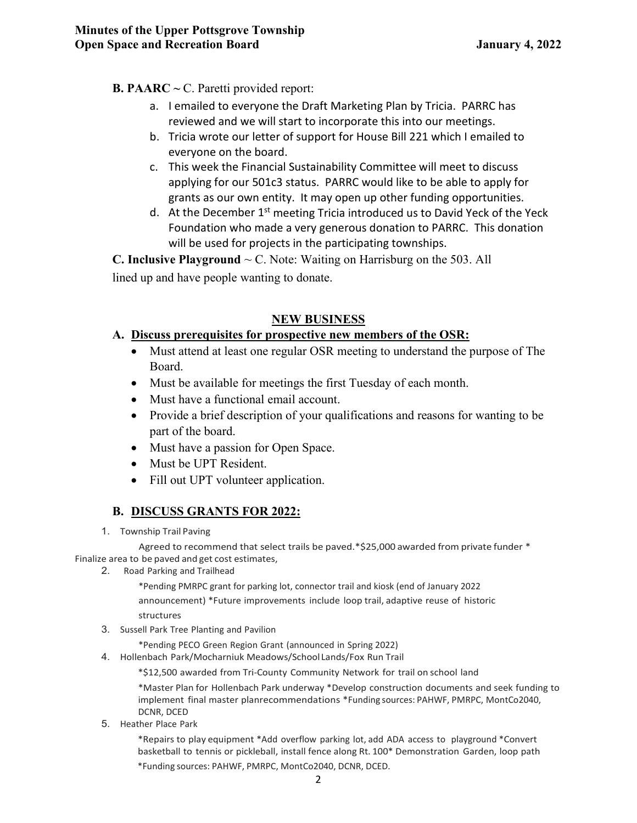## **B. PAARC ~** C. Paretti provided report:

- a. I emailed to everyone the Draft Marketing Plan by Tricia. PARRC has reviewed and we will start to incorporate this into our meetings.
- b. Tricia wrote our letter of support for House Bill 221 which I emailed to everyone on the board.
- c. This week the Financial Sustainability Committee will meet to discuss applying for our 501c3 status. PARRC would like to be able to apply for grants as our own entity. It may open up other funding opportunities.
- d. At the December  $1<sup>st</sup>$  meeting Tricia introduced us to David Yeck of the Yeck Foundation who made a very generous donation to PARRC. This donation will be used for projects in the participating townships.

**C. Inclusive Playground**  $\sim$  C. Note: Waiting on Harrisburg on the 503. All lined up and have people wanting to donate.

## **NEW BUSINESS**

## **A. Discuss prerequisites for prospective new members of the OSR:**

- Must attend at least one regular OSR meeting to understand the purpose of The Board.
- Must be available for meetings the first Tuesday of each month.
- Must have a functional email account.
- Provide a brief description of your qualifications and reasons for wanting to be part of the board.
- Must have a passion for Open Space.
- Must be UPT Resident.
- Fill out UPT volunteer application.

# **B. DISCUSS GRANTS FOR 2022:**

1. Township Trail Paving

Agreed to recommend that select trails be paved.\*\$25,000 awarded from private funder \* Finalize area to be paved and get cost estimates,

2. Road Parking and Trailhead

\*Pending PMRPC grant for parking lot, connector trail and kiosk (end of January 2022 announcement) \*Future improvements include loop trail, adaptive reuse of historic structures

3. Sussell Park Tree Planting and Pavilion

\*Pending PECO Green Region Grant (announced in Spring 2022)

4. Hollenbach Park/Mocharniuk Meadows/School Lands/Fox Run Trail

\*\$12,500 awarded from Tri-County Community Network for trail on school land

\*Master Plan for Hollenbach Park underway \*Develop construction documents and seek funding to implement final master planrecommendations \*Funding sources: PAHWF, PMRPC, MontCo2040, DCNR, DCED

5. Heather Place Park

\*Repairs to play equipment \*Add overflow parking lot, add ADA access to playground \*Convert basketball to tennis or pickleball, install fence along Rt. 100\* Demonstration Garden, loop path

\*Funding sources: PAHWF, PMRPC, MontCo2040, DCNR, DCED.